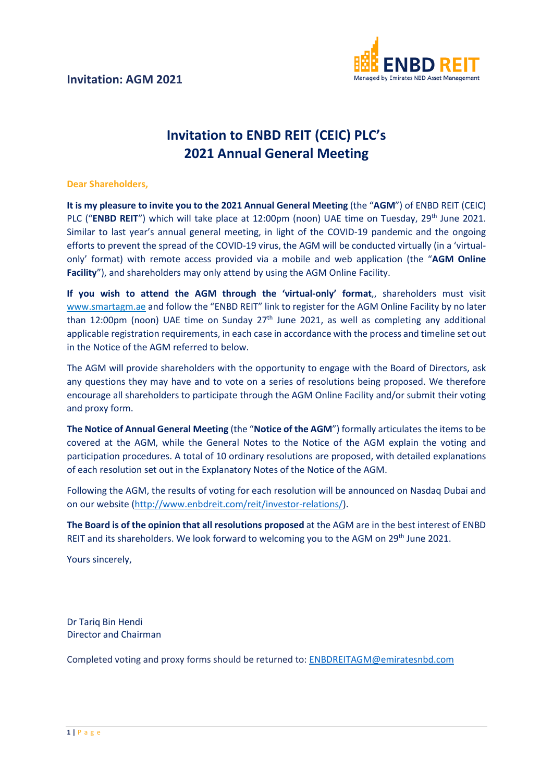

## **Invitation to ENBD REIT (CEIC) PLC's 2021 Annual General Meeting**

## **Dear Shareholders,**

**It is my pleasure to invite you to the 2021 Annual General Meeting** (the "**AGM**") of ENBD REIT (CEIC) PLC ("**ENBD REIT**") which will take place at 12:00pm (noon) UAE time on Tuesday, 29<sup>th</sup> June 2021. Similar to last year's annual general meeting, in light of the COVID-19 pandemic and the ongoing efforts to prevent the spread of the COVID-19 virus, the AGM will be conducted virtually (in a 'virtualonly' format) with remote access provided via a mobile and web application (the "**AGM Online Facility**"), and shareholders may only attend by using the AGM Online Facility.

**If you wish to attend the AGM through the 'virtual-only' format**,, shareholders must visit [www.smartagm.ae](http://www.smartagm.ae/) and follow the "ENBD REIT" link to register for the AGM Online Facility by no later than 12:00pm (noon) UAE time on Sunday  $27<sup>th</sup>$  June 2021, as well as completing any additional applicable registration requirements, in each case in accordance with the process and timeline set out in the Notice of the AGM referred to below.

The AGM will provide shareholders with the opportunity to engage with the Board of Directors, ask any questions they may have and to vote on a series of resolutions being proposed. We therefore encourage all shareholders to participate through the AGM Online Facility and/or submit their voting and proxy form.

**The Notice of Annual General Meeting** (the "**Notice of the AGM**") formally articulates the items to be covered at the AGM, while the General Notes to the Notice of the AGM explain the voting and participation procedures. A total of 10 ordinary resolutions are proposed, with detailed explanations of each resolution set out in the Explanatory Notes of the Notice of the AGM.

Following the AGM, the results of voting for each resolution will be announced on Nasdaq Dubai and on our website [\(http://www.enbdreit.com/reit/investor-relations/\)](http://www.enbdreit.com/reit/investor-relations/).

**The Board is of the opinion that all resolutions proposed** at the AGM are in the best interest of ENBD REIT and its shareholders. We look forward to welcoming you to the AGM on 29<sup>th</sup> June 2021.

Yours sincerely,

Dr Tariq Bin Hendi Director and Chairman

Completed voting and proxy forms should be returned to: [ENBDREITAGM@emiratesnbd.com](mailto:ENBDREITAGM@emiratesnbd.com)